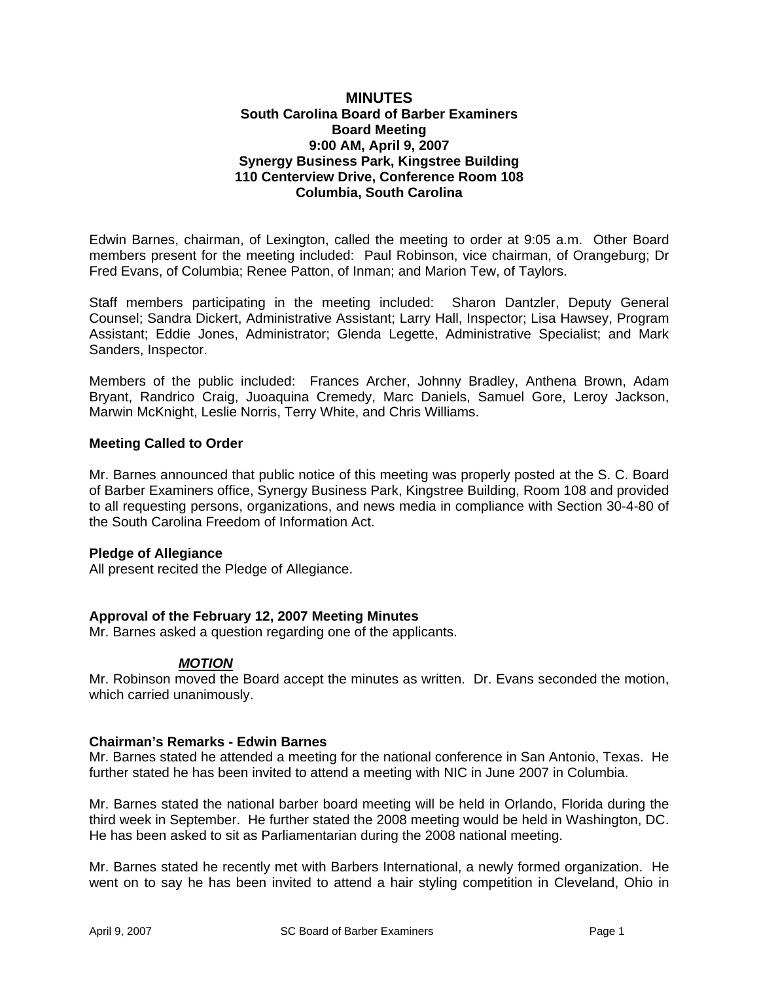### **MINUTES South Carolina Board of Barber Examiners Board Meeting 9:00 AM, April 9, 2007 Synergy Business Park, Kingstree Building 110 Centerview Drive, Conference Room 108 Columbia, South Carolina**

Edwin Barnes, chairman, of Lexington, called the meeting to order at 9:05 a.m. Other Board members present for the meeting included: Paul Robinson, vice chairman, of Orangeburg; Dr Fred Evans, of Columbia; Renee Patton, of Inman; and Marion Tew, of Taylors.

Staff members participating in the meeting included: Sharon Dantzler, Deputy General Counsel; Sandra Dickert, Administrative Assistant; Larry Hall, Inspector; Lisa Hawsey, Program Assistant; Eddie Jones, Administrator; Glenda Legette, Administrative Specialist; and Mark Sanders, Inspector.

Members of the public included: Frances Archer, Johnny Bradley, Anthena Brown, Adam Bryant, Randrico Craig, Juoaquina Cremedy, Marc Daniels, Samuel Gore, Leroy Jackson, Marwin McKnight, Leslie Norris, Terry White, and Chris Williams.

## **Meeting Called to Order**

Mr. Barnes announced that public notice of this meeting was properly posted at the S. C. Board of Barber Examiners office, Synergy Business Park, Kingstree Building, Room 108 and provided to all requesting persons, organizations, and news media in compliance with Section 30-4-80 of the South Carolina Freedom of Information Act.

### **Pledge of Allegiance**

All present recited the Pledge of Allegiance.

### **Approval of the February 12, 2007 Meeting Minutes**

Mr. Barnes asked a question regarding one of the applicants.

# *MOTION*

Mr. Robinson moved the Board accept the minutes as written. Dr. Evans seconded the motion, which carried unanimously.

### **Chairman's Remarks - Edwin Barnes**

Mr. Barnes stated he attended a meeting for the national conference in San Antonio, Texas. He further stated he has been invited to attend a meeting with NIC in June 2007 in Columbia.

Mr. Barnes stated the national barber board meeting will be held in Orlando, Florida during the third week in September. He further stated the 2008 meeting would be held in Washington, DC. He has been asked to sit as Parliamentarian during the 2008 national meeting.

Mr. Barnes stated he recently met with Barbers International, a newly formed organization. He went on to say he has been invited to attend a hair styling competition in Cleveland, Ohio in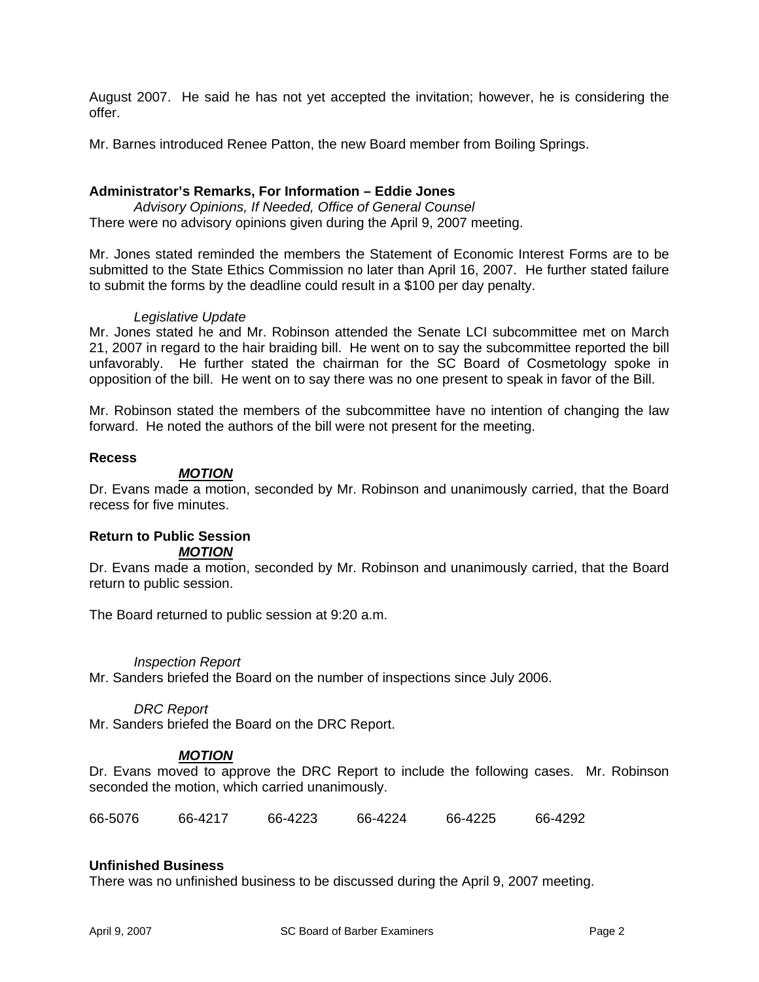August 2007. He said he has not yet accepted the invitation; however, he is considering the offer.

Mr. Barnes introduced Renee Patton, the new Board member from Boiling Springs.

## **Administrator's Remarks, For Information – Eddie Jones**

*Advisory Opinions, If Needed, Office of General Counsel* There were no advisory opinions given during the April 9, 2007 meeting.

Mr. Jones stated reminded the members the Statement of Economic Interest Forms are to be submitted to the State Ethics Commission no later than April 16, 2007. He further stated failure to submit the forms by the deadline could result in a \$100 per day penalty.

### *Legislative Update*

Mr. Jones stated he and Mr. Robinson attended the Senate LCI subcommittee met on March 21, 2007 in regard to the hair braiding bill. He went on to say the subcommittee reported the bill unfavorably. He further stated the chairman for the SC Board of Cosmetology spoke in opposition of the bill. He went on to say there was no one present to speak in favor of the Bill.

Mr. Robinson stated the members of the subcommittee have no intention of changing the law forward. He noted the authors of the bill were not present for the meeting.

#### **Recess**

#### *MOTION*

Dr. Evans made a motion, seconded by Mr. Robinson and unanimously carried, that the Board recess for five minutes.

#### **Return to Public Session**  *MOTION*

Dr. Evans made a motion, seconded by Mr. Robinson and unanimously carried, that the Board return to public session.

The Board returned to public session at 9:20 a.m.

### *Inspection Report*

Mr. Sanders briefed the Board on the number of inspections since July 2006.

#### *DRC Report*

Mr. Sanders briefed the Board on the DRC Report.

### *MOTION*

Dr. Evans moved to approve the DRC Report to include the following cases. Mr. Robinson seconded the motion, which carried unanimously.

66-5076 66-4217 66-4223 66-4224 66-4225 66-4292

### **Unfinished Business**

There was no unfinished business to be discussed during the April 9, 2007 meeting.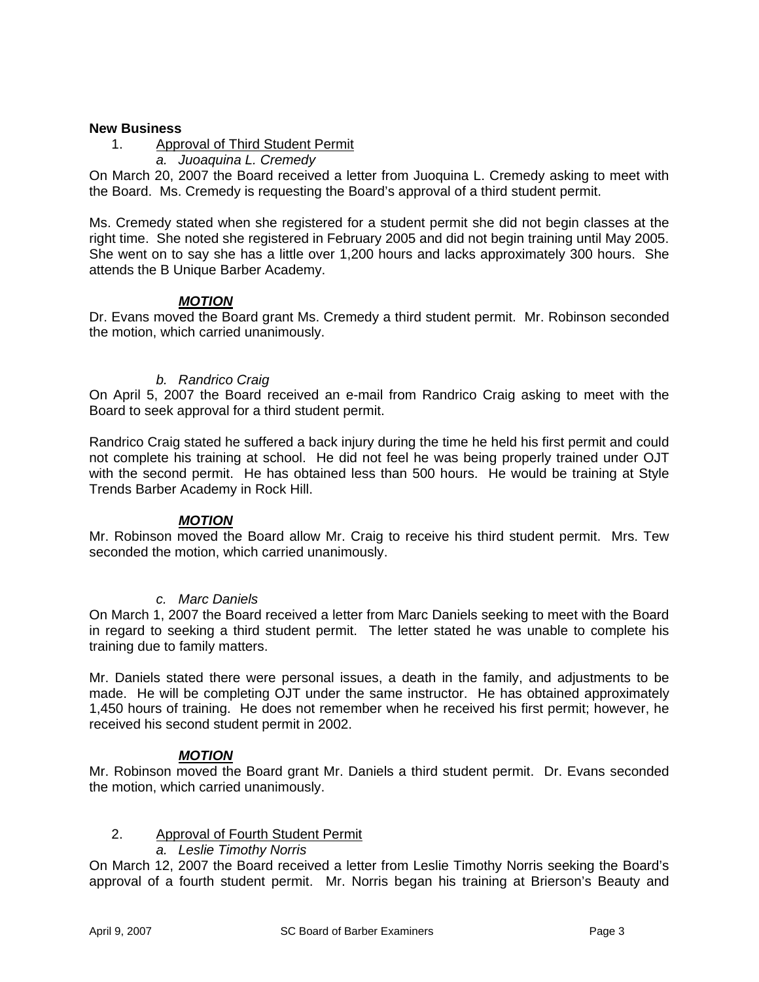### **New Business**

- 1. Approval of Third Student Permit
	- *a. Juoaquina L. Cremedy*

On March 20, 2007 the Board received a letter from Juoquina L. Cremedy asking to meet with the Board. Ms. Cremedy is requesting the Board's approval of a third student permit.

Ms. Cremedy stated when she registered for a student permit she did not begin classes at the right time. She noted she registered in February 2005 and did not begin training until May 2005. She went on to say she has a little over 1,200 hours and lacks approximately 300 hours. She attends the B Unique Barber Academy.

# *MOTION*

Dr. Evans moved the Board grant Ms. Cremedy a third student permit. Mr. Robinson seconded the motion, which carried unanimously.

### *b. Randrico Craig*

On April 5, 2007 the Board received an e-mail from Randrico Craig asking to meet with the Board to seek approval for a third student permit.

Randrico Craig stated he suffered a back injury during the time he held his first permit and could not complete his training at school. He did not feel he was being properly trained under OJT with the second permit. He has obtained less than 500 hours. He would be training at Style Trends Barber Academy in Rock Hill.

### *MOTION*

Mr. Robinson moved the Board allow Mr. Craig to receive his third student permit. Mrs. Tew seconded the motion, which carried unanimously.

### *c. Marc Daniels*

On March 1, 2007 the Board received a letter from Marc Daniels seeking to meet with the Board in regard to seeking a third student permit. The letter stated he was unable to complete his training due to family matters.

Mr. Daniels stated there were personal issues, a death in the family, and adjustments to be made. He will be completing OJT under the same instructor. He has obtained approximately 1,450 hours of training. He does not remember when he received his first permit; however, he received his second student permit in 2002.

# *MOTION*

Mr. Robinson moved the Board grant Mr. Daniels a third student permit. Dr. Evans seconded the motion, which carried unanimously.

### 2. Approval of Fourth Student Permit

*a. Leslie Timothy Norris* 

On March 12, 2007 the Board received a letter from Leslie Timothy Norris seeking the Board's approval of a fourth student permit. Mr. Norris began his training at Brierson's Beauty and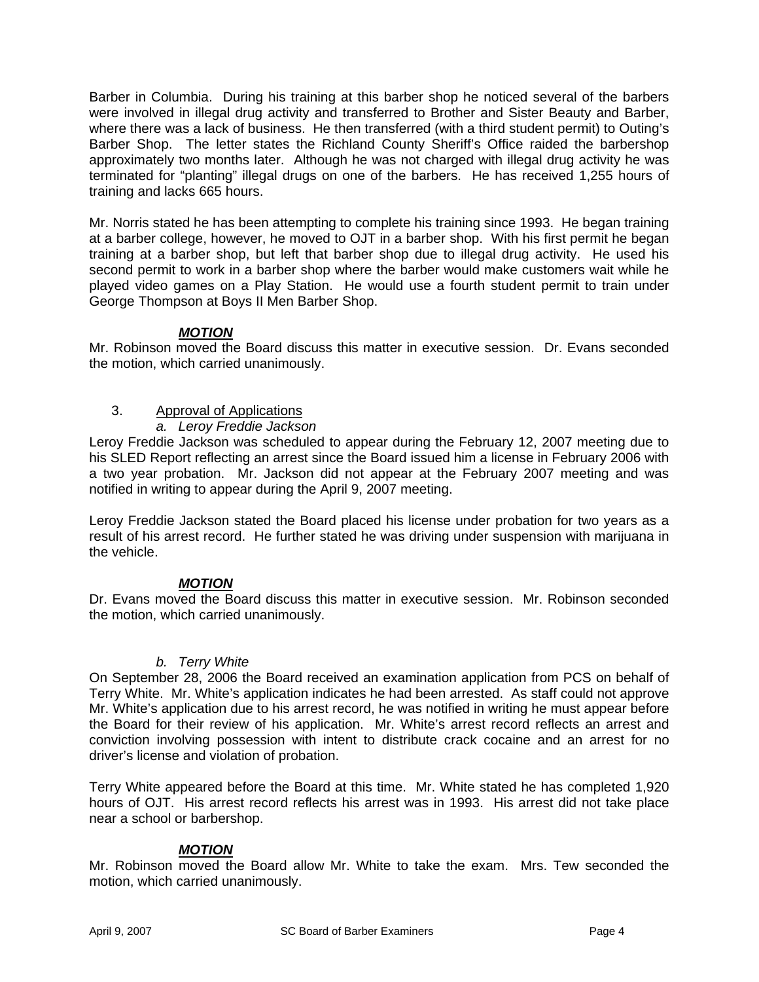Barber in Columbia. During his training at this barber shop he noticed several of the barbers were involved in illegal drug activity and transferred to Brother and Sister Beauty and Barber, where there was a lack of business. He then transferred (with a third student permit) to Outing's Barber Shop. The letter states the Richland County Sheriff's Office raided the barbershop approximately two months later. Although he was not charged with illegal drug activity he was terminated for "planting" illegal drugs on one of the barbers. He has received 1,255 hours of training and lacks 665 hours.

Mr. Norris stated he has been attempting to complete his training since 1993. He began training at a barber college, however, he moved to OJT in a barber shop. With his first permit he began training at a barber shop, but left that barber shop due to illegal drug activity. He used his second permit to work in a barber shop where the barber would make customers wait while he played video games on a Play Station. He would use a fourth student permit to train under George Thompson at Boys II Men Barber Shop.

# *MOTION*

Mr. Robinson moved the Board discuss this matter in executive session. Dr. Evans seconded the motion, which carried unanimously.

# 3. Approval of Applications

*a. Leroy Freddie Jackson* 

Leroy Freddie Jackson was scheduled to appear during the February 12, 2007 meeting due to his SLED Report reflecting an arrest since the Board issued him a license in February 2006 with a two year probation. Mr. Jackson did not appear at the February 2007 meeting and was notified in writing to appear during the April 9, 2007 meeting.

Leroy Freddie Jackson stated the Board placed his license under probation for two years as a result of his arrest record. He further stated he was driving under suspension with marijuana in the vehicle.

# *MOTION*

Dr. Evans moved the Board discuss this matter in executive session. Mr. Robinson seconded the motion, which carried unanimously.

# *b. Terry White*

On September 28, 2006 the Board received an examination application from PCS on behalf of Terry White. Mr. White's application indicates he had been arrested. As staff could not approve Mr. White's application due to his arrest record, he was notified in writing he must appear before the Board for their review of his application. Mr. White's arrest record reflects an arrest and conviction involving possession with intent to distribute crack cocaine and an arrest for no driver's license and violation of probation.

Terry White appeared before the Board at this time. Mr. White stated he has completed 1,920 hours of OJT. His arrest record reflects his arrest was in 1993. His arrest did not take place near a school or barbershop.

# *MOTION*

Mr. Robinson moved the Board allow Mr. White to take the exam. Mrs. Tew seconded the motion, which carried unanimously.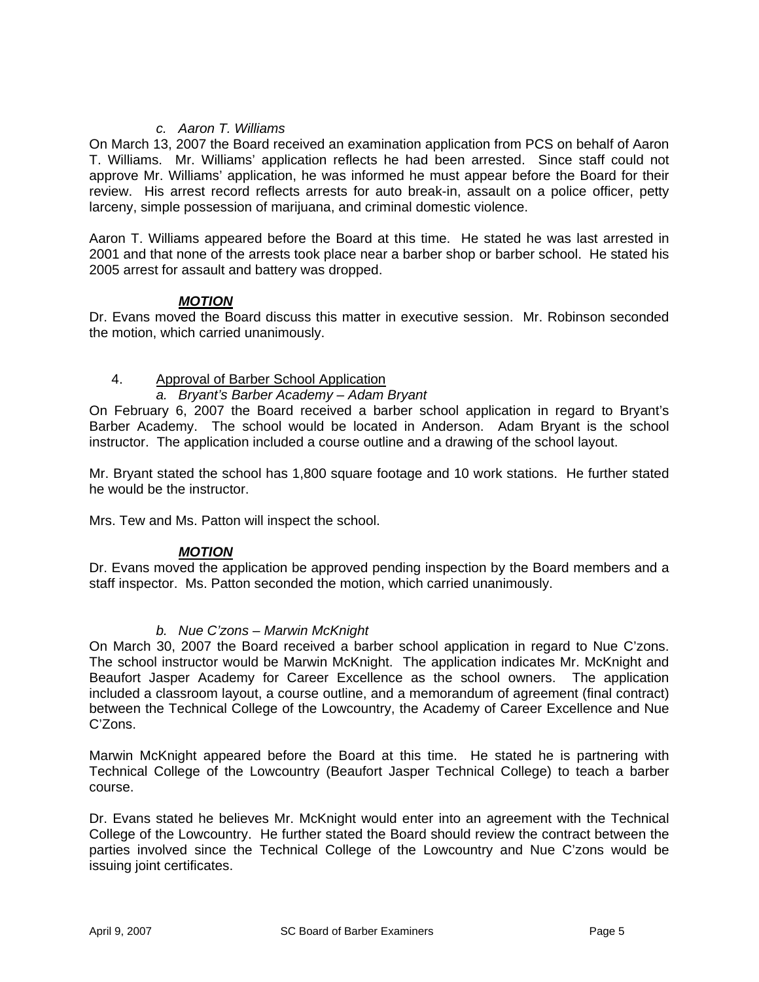# *c. Aaron T. Williams*

On March 13, 2007 the Board received an examination application from PCS on behalf of Aaron T. Williams. Mr. Williams' application reflects he had been arrested. Since staff could not approve Mr. Williams' application, he was informed he must appear before the Board for their review. His arrest record reflects arrests for auto break-in, assault on a police officer, petty larceny, simple possession of marijuana, and criminal domestic violence.

Aaron T. Williams appeared before the Board at this time. He stated he was last arrested in 2001 and that none of the arrests took place near a barber shop or barber school. He stated his 2005 arrest for assault and battery was dropped.

## *MOTION*

Dr. Evans moved the Board discuss this matter in executive session. Mr. Robinson seconded the motion, which carried unanimously.

## 4. Approval of Barber School Application

## *a. Bryant's Barber Academy – Adam Bryant*

On February 6, 2007 the Board received a barber school application in regard to Bryant's Barber Academy. The school would be located in Anderson. Adam Bryant is the school instructor. The application included a course outline and a drawing of the school layout.

Mr. Bryant stated the school has 1,800 square footage and 10 work stations. He further stated he would be the instructor.

Mrs. Tew and Ms. Patton will inspect the school.

### *MOTION*

Dr. Evans moved the application be approved pending inspection by the Board members and a staff inspector. Ms. Patton seconded the motion, which carried unanimously.

### *b. Nue C'zons – Marwin McKnight*

On March 30, 2007 the Board received a barber school application in regard to Nue C'zons. The school instructor would be Marwin McKnight. The application indicates Mr. McKnight and Beaufort Jasper Academy for Career Excellence as the school owners. The application included a classroom layout, a course outline, and a memorandum of agreement (final contract) between the Technical College of the Lowcountry, the Academy of Career Excellence and Nue C'Zons.

Marwin McKnight appeared before the Board at this time. He stated he is partnering with Technical College of the Lowcountry (Beaufort Jasper Technical College) to teach a barber course.

Dr. Evans stated he believes Mr. McKnight would enter into an agreement with the Technical College of the Lowcountry. He further stated the Board should review the contract between the parties involved since the Technical College of the Lowcountry and Nue C'zons would be issuing joint certificates.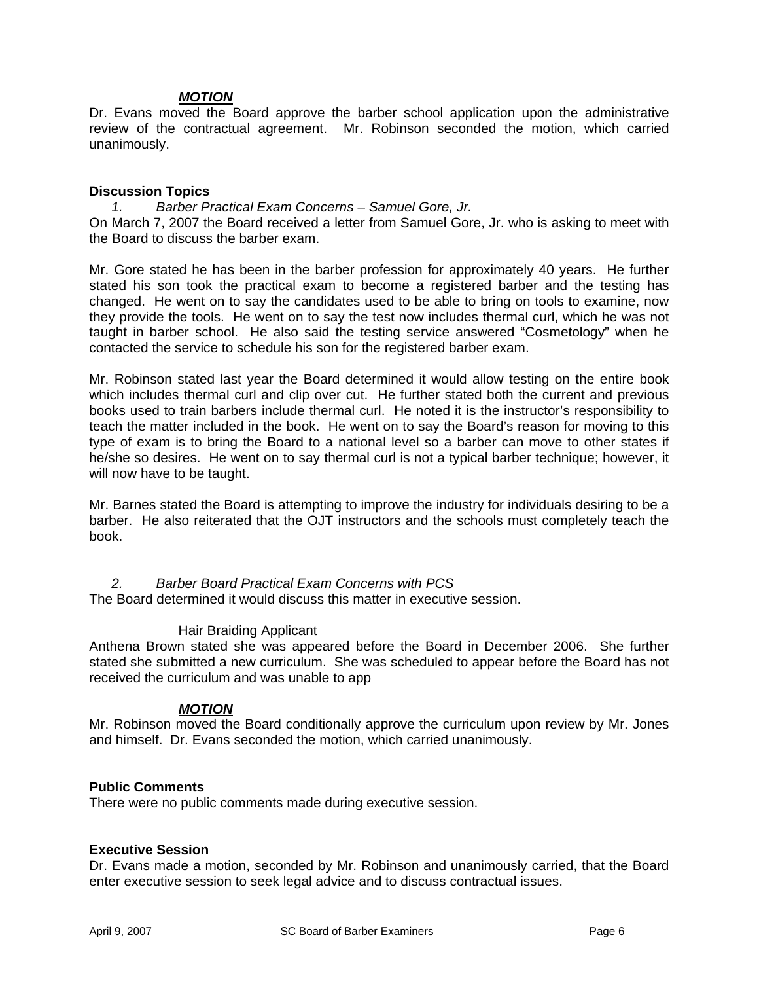## *MOTION*

Dr. Evans moved the Board approve the barber school application upon the administrative review of the contractual agreement. Mr. Robinson seconded the motion, which carried unanimously.

### **Discussion Topics**

*1. Barber Practical Exam Concerns – Samuel Gore, Jr.*  On March 7, 2007 the Board received a letter from Samuel Gore, Jr. who is asking to meet with the Board to discuss the barber exam.

Mr. Gore stated he has been in the barber profession for approximately 40 years. He further stated his son took the practical exam to become a registered barber and the testing has changed. He went on to say the candidates used to be able to bring on tools to examine, now they provide the tools. He went on to say the test now includes thermal curl, which he was not taught in barber school. He also said the testing service answered "Cosmetology" when he contacted the service to schedule his son for the registered barber exam.

Mr. Robinson stated last year the Board determined it would allow testing on the entire book which includes thermal curl and clip over cut. He further stated both the current and previous books used to train barbers include thermal curl. He noted it is the instructor's responsibility to teach the matter included in the book. He went on to say the Board's reason for moving to this type of exam is to bring the Board to a national level so a barber can move to other states if he/she so desires. He went on to say thermal curl is not a typical barber technique; however, it will now have to be taught.

Mr. Barnes stated the Board is attempting to improve the industry for individuals desiring to be a barber. He also reiterated that the OJT instructors and the schools must completely teach the book.

### *2. Barber Board Practical Exam Concerns with PCS*

The Board determined it would discuss this matter in executive session.

### Hair Braiding Applicant

Anthena Brown stated she was appeared before the Board in December 2006. She further stated she submitted a new curriculum. She was scheduled to appear before the Board has not received the curriculum and was unable to app

# *MOTION*

Mr. Robinson moved the Board conditionally approve the curriculum upon review by Mr. Jones and himself. Dr. Evans seconded the motion, which carried unanimously.

### **Public Comments**

There were no public comments made during executive session.

### **Executive Session**

Dr. Evans made a motion, seconded by Mr. Robinson and unanimously carried, that the Board enter executive session to seek legal advice and to discuss contractual issues.